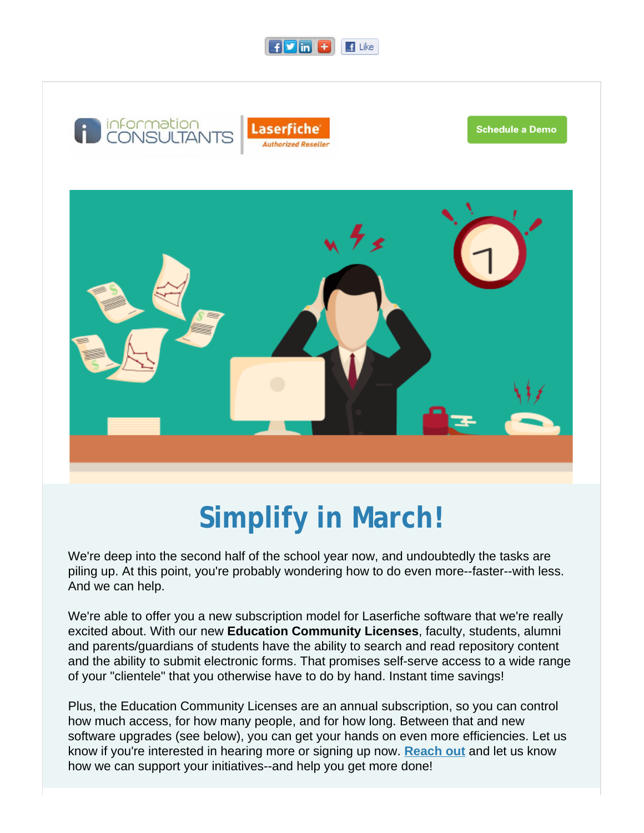



# **Simplify in March!**

We're deep into the second half of the school year now, and undoubtedly the tasks are piling up. At this point, you're probably wondering how to do even more--faster--with less. And we can help.

We're able to offer you a new subscription model for Laserfiche software that we're really excited about. With our new **Education Community Licenses**, faculty, students, alumni and parents/guardians of students have the ability to search and read repository content and the ability to submit electronic forms. That promises self-serve access to a wide range of your "clientele" that you otherwise have to do by hand. Instant time savings!

Plus, the Education Community Licenses are an annual subscription, so you can control how much access, for how many people, and for how long. Between that and new software upgrades (see below), you can get your hands on even more efficiencies. Let us know if you're interested in hearing more or signing up now. **[Reach out](http://r20.rs6.net/tn.jsp?f=0019KFPxnydMHsxLe9aydvp3woDXgdaUA92LQ6MgRSITzynEIMiNDRx6yb7oExGQy9btTQCM4LpF49LAbjpGrUcCmpmNBTfhS-BI2rDhIEDd-tqhfME9xrZ_87TvVLmmrohLWMxkaKzZXMxWHaLILUa1s_edoHxVuG8dBHwy4QpipiEHou74oS8K5kupy_O-M5e&c=&ch=)** and let us know how we can support your initiatives--and help you get more done!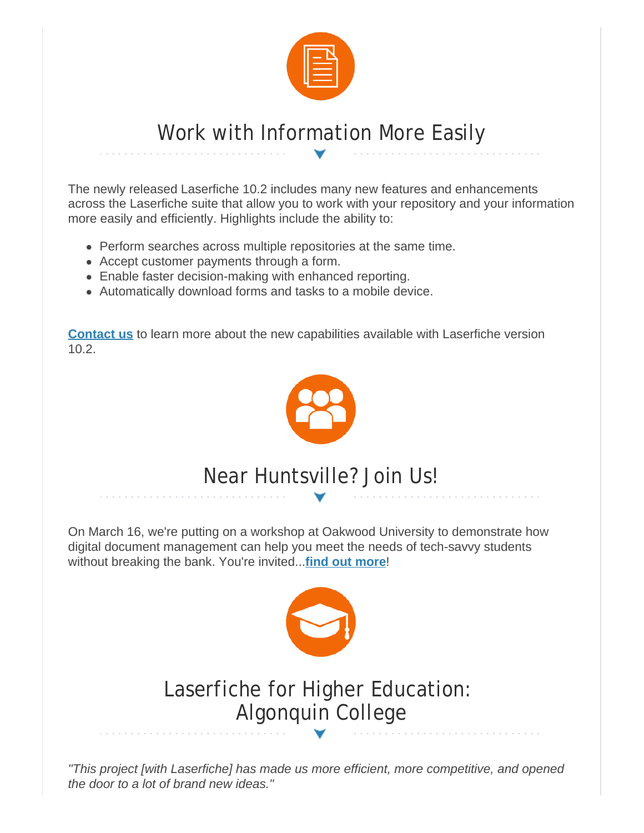

### Work with Information More Easily

The newly released Laserfiche 10.2 includes many new features and enhancements across the Laserfiche suite that allow you to work with your repository and your information more easily and efficiently. Highlights include the ability to:

- Perform searches across multiple repositories at the same time.
- Accept customer payments through a form.
- Enable faster decision-making with enhanced reporting.
- Automatically download forms and tasks to a mobile device.

**[Contact us](http://r20.rs6.net/tn.jsp?f=0019KFPxnydMHsxLe9aydvp3woDXgdaUA92LQ6MgRSITzynEIMiNDRx6yb7oExGQy9btTQCM4LpF49LAbjpGrUcCmpmNBTfhS-BI2rDhIEDd-tqhfME9xrZ_87TvVLmmrohLWMxkaKzZXMxWHaLILUa1s_edoHxVuG8dBHwy4QpipiEHou74oS8K5kupy_O-M5e&c=&ch=)** to learn more about the new capabilities available with Laserfiche version 10.2.



## Near Huntsville? Join Us!

On March 16, we're putting on a workshop at Oakwood University to demonstrate how digital document management can help you meet the needs of tech-savvy students without breaking the bank. You're invited...**[find out more](http://r20.rs6.net/tn.jsp?f=0019KFPxnydMHsxLe9aydvp3woDXgdaUA92LQ6MgRSITzynEIMiNDRx66Yv94lcSDLd68oHHGqU0GzgPOrIOrcAxBJwY8WBcmUmPLepOPIZgJ2pw4-IYx5ToagVR6ggJ13amFw89_SZ9GIyOck92QWsVcIxWB8k8zE7Vx80oy2liqXuhzBRh_BUjNTH1H3eVc2exui3zluOcjFnmm6iRqWpceFYiw43-rHlTjfxG9Ud537X9GWbIt-0G2E9_5xchC60kj7EQ-0w5y-jsBuPYsJHYL_wIRIBB8dHYfwqrW3eBBiHJiCI_GoYG8t8SfMpABkc&c=&ch=)**!



## Laserfiche for Higher Education: Algonquin College

*"This project [with Laserfiche] has made us more efficient, more competitive, and opened the door to a lot of brand new ideas."*